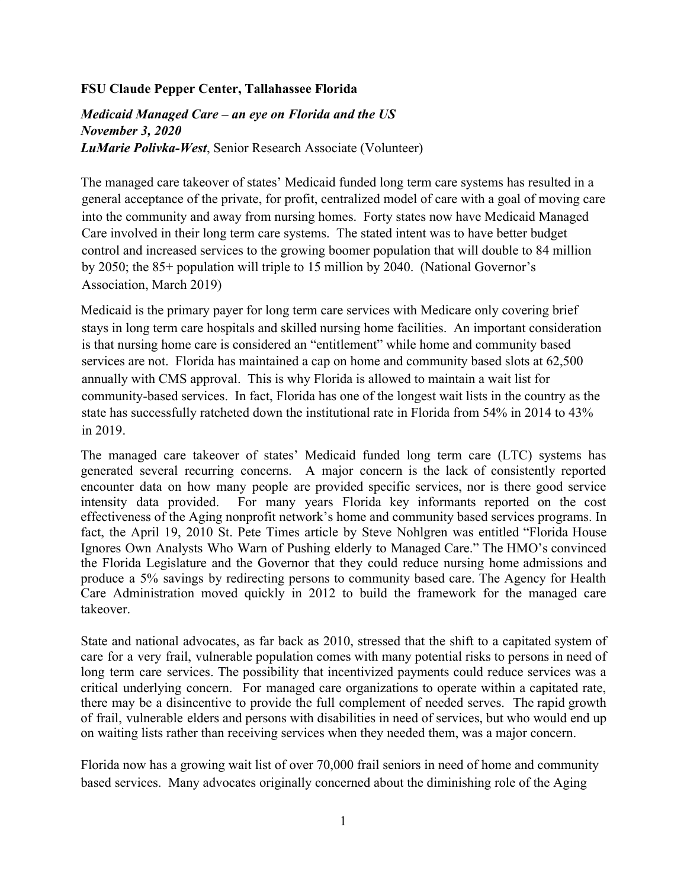## **FSU Claude Pepper Center, Tallahassee Florida**

## *Medicaid Managed Care – an eye on Florida and the US November 3, 2020 LuMarie Polivka-West*, Senior Research Associate (Volunteer)

The managed care takeover of states' Medicaid funded long term care systems has resulted in a general acceptance of the private, for profit, centralized model of care with a goal of moving care into the community and away from nursing homes. Forty states now have Medicaid Managed Care involved in their long term care systems. The stated intent was to have better budget control and increased services to the growing boomer population that will double to 84 million by 2050; the 85+ population will triple to 15 million by 2040. (National Governor's Association, March 2019)

Medicaid is the primary payer for long term care services with Medicare only covering brief stays in long term care hospitals and skilled nursing home facilities. An important consideration is that nursing home care is considered an "entitlement" while home and community based services are not. Florida has maintained a cap on home and community based slots at 62,500 annually with CMS approval. This is why Florida is allowed to maintain a wait list for community-based services. In fact, Florida has one of the longest wait lists in the country as the state has successfully ratcheted down the institutional rate in Florida from 54% in 2014 to 43% in 2019.

The managed care takeover of states' Medicaid funded long term care (LTC) systems has generated several recurring concerns. A major concern is the lack of consistently reported encounter data on how many people are provided specific services, nor is there good service intensity data provided. For many years Florida key informants reported on the cost effectiveness of the Aging nonprofit network's home and community based services programs. In fact, the April 19, 2010 St. Pete Times article by Steve Nohlgren was entitled "Florida House Ignores Own Analysts Who Warn of Pushing elderly to Managed Care." The HMO's convinced the Florida Legislature and the Governor that they could reduce nursing home admissions and produce a 5% savings by redirecting persons to community based care. The Agency for Health Care Administration moved quickly in 2012 to build the framework for the managed care takeover.

State and national advocates, as far back as 2010, stressed that the shift to a capitated system of care for a very frail, vulnerable population comes with many potential risks to persons in need of long term care services. The possibility that incentivized payments could reduce services was a critical underlying concern. For managed care organizations to operate within a capitated rate, there may be a disincentive to provide the full complement of needed serves. The rapid growth of frail, vulnerable elders and persons with disabilities in need of services, but who would end up on waiting lists rather than receiving services when they needed them, was a major concern.

Florida now has a growing wait list of over 70,000 frail seniors in need of home and community based services. Many advocates originally concerned about the diminishing role of the Aging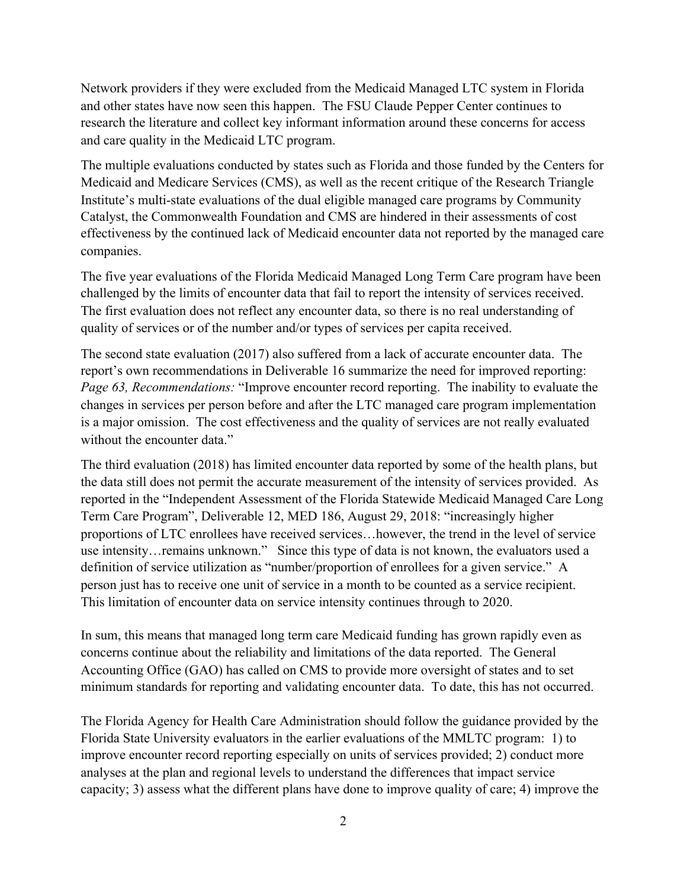Network providers if they were excluded from the Medicaid Managed LTC system in Florida and other states have now seen this happen. The FSU Claude Pepper Center continues to research the literature and collect key informant information around these concerns for access and care quality in the Medicaid LTC program.

The multiple evaluations conducted by states such as Florida and those funded by the Centers for Medicaid and Medicare Services (CMS), as well as the recent critique of the Research Triangle Institute's multi-state evaluations of the dual eligible managed care programs by Community Catalyst, the Commonwealth Foundation and CMS are hindered in their assessments of cost effectiveness by the continued lack of Medicaid encounter data not reported by the managed care companies.

The five year evaluations of the Florida Medicaid Managed Long Term Care program have been challenged by the limits of encounter data that fail to report the intensity of services received. The first evaluation does not reflect any encounter data, so there is no real understanding of quality of services or of the number and/or types of services per capita received.

The second state evaluation (2017) also suffered from a lack of accurate encounter data. The report's own recommendations in Deliverable 16 summarize the need for improved reporting: *Page 63, Recommendations:* "Improve encounter record reporting. The inability to evaluate the changes in services per person before and after the LTC managed care program implementation is a major omission. The cost effectiveness and the quality of services are not really evaluated without the encounter data."

The third evaluation (2018) has limited encounter data reported by some of the health plans, but the data still does not permit the accurate measurement of the intensity of services provided. As reported in the "Independent Assessment of the Florida Statewide Medicaid Managed Care Long Term Care Program", Deliverable 12, MED 186, August 29, 2018: "increasingly higher proportions of LTC enrollees have received services…however, the trend in the level of service use intensity…remains unknown." Since this type of data is not known, the evaluators used a definition of service utilization as "number/proportion of enrollees for a given service." A person just has to receive one unit of service in a month to be counted as a service recipient. This limitation of encounter data on service intensity continues through to 2020.

In sum, this means that managed long term care Medicaid funding has grown rapidly even as concerns continue about the reliability and limitations of the data reported. The General Accounting Office (GAO) has called on CMS to provide more oversight of states and to set minimum standards for reporting and validating encounter data. To date, this has not occurred.

The Florida Agency for Health Care Administration should follow the guidance provided by the Florida State University evaluators in the earlier evaluations of the MMLTC program: 1) to improve encounter record reporting especially on units of services provided; 2) conduct more analyses at the plan and regional levels to understand the differences that impact service capacity; 3) assess what the different plans have done to improve quality of care; 4) improve the